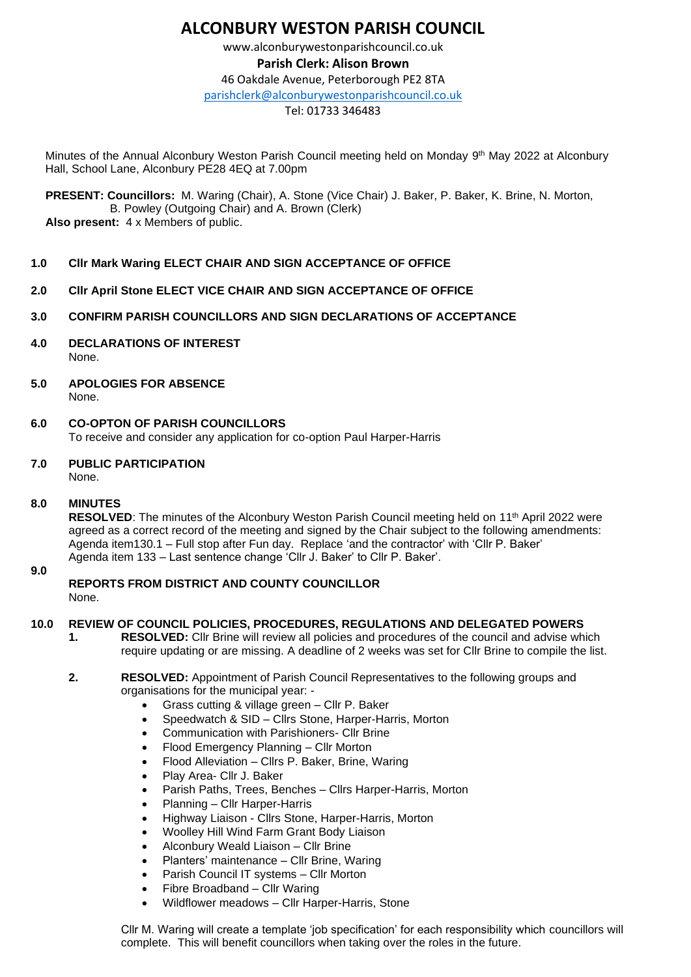# **ALCONBURY WESTON PARISH COUNCIL**

www.alconburywestonparishcouncil.co.uk **Parish Clerk: Alison Brown** 46 Oakdale Avenue, Peterborough PE2 8TA [parishclerk@alconburywestonparishcouncil.co.uk](mailto:parishclerk@alconburyparishcouncil.co.uk)

## Tel: 01733 346483

Minutes of the Annual Alconbury Weston Parish Council meeting held on Monday 9<sup>th</sup> May 2022 at Alconbury Hall, School Lane, Alconbury PE28 4EQ at 7.00pm

 **PRESENT: Councillors:** M. Waring (Chair), A. Stone (Vice Chair) J. Baker, P. Baker, K. Brine, N. Morton, B. Powley (Outgoing Chair) and A. Brown (Clerk)  **Also present:** 4 x Members of public.

## **1.0 Cllr Mark Waring ELECT CHAIR AND SIGN ACCEPTANCE OF OFFICE**

- **2.0 Cllr April Stone ELECT VICE CHAIR AND SIGN ACCEPTANCE OF OFFICE**
- **3.0 CONFIRM PARISH COUNCILLORS AND SIGN DECLARATIONS OF ACCEPTANCE**
- **4.0 DECLARATIONS OF INTEREST** None.
- **5.0 APOLOGIES FOR ABSENCE** None.
- **6.0 CO-OPTON OF PARISH COUNCILLORS** To receive and consider any application for co-option Paul Harper-Harris
- **7.0 PUBLIC PARTICIPATION**

None.

**8.0 MINUTES**

**RESOLVED:** The minutes of the Alconbury Weston Parish Council meeting held on 11<sup>th</sup> April 2022 were agreed as a correct record of the meeting and signed by the Chair subject to the following amendments: Agenda item130.1 – Full stop after Fun day. Replace 'and the contractor' with 'Cllr P. Baker' Agenda item 133 – Last sentence change 'Cllr J. Baker' to Cllr P. Baker'.

**9.0**

**REPORTS FROM DISTRICT AND COUNTY COUNCILLOR** None.

## **10.0 REVIEW OF COUNCIL POLICIES, PROCEDURES, REGULATIONS AND DELEGATED POWERS**

**1. RESOLVED:** Cllr Brine will review all policies and procedures of the council and advise which require updating or are missing. A deadline of 2 weeks was set for Cllr Brine to compile the list.

#### **2. RESOLVED:** Appointment of Parish Council Representatives to the following groups and organisations for the municipal year: -

- Grass cutting & village green Cllr P. Baker
- Speedwatch & SID Clirs Stone, Harper-Harris, Morton
- Communication with Parishioners- Cllr Brine
- Flood Emergency Planning Cllr Morton
- Flood Alleviation Cllrs P. Baker, Brine, Waring
- Play Area- Cllr J. Baker
- Parish Paths, Trees, Benches Cllrs Harper-Harris, Morton
- Planning Cllr Harper-Harris
- Highway Liaison Cllrs Stone, Harper-Harris, Morton
- Woolley Hill Wind Farm Grant Body Liaison
- Alconbury Weald Liaison Cllr Brine
- Planters' maintenance Cllr Brine, Waring
- Parish Council IT systems Cllr Morton
- Fibre Broadband Cllr Waring
- Wildflower meadows Cllr Harper-Harris, Stone

Cllr M. Waring will create a template 'job specification' for each responsibility which councillors will complete. This will benefit councillors when taking over the roles in the future.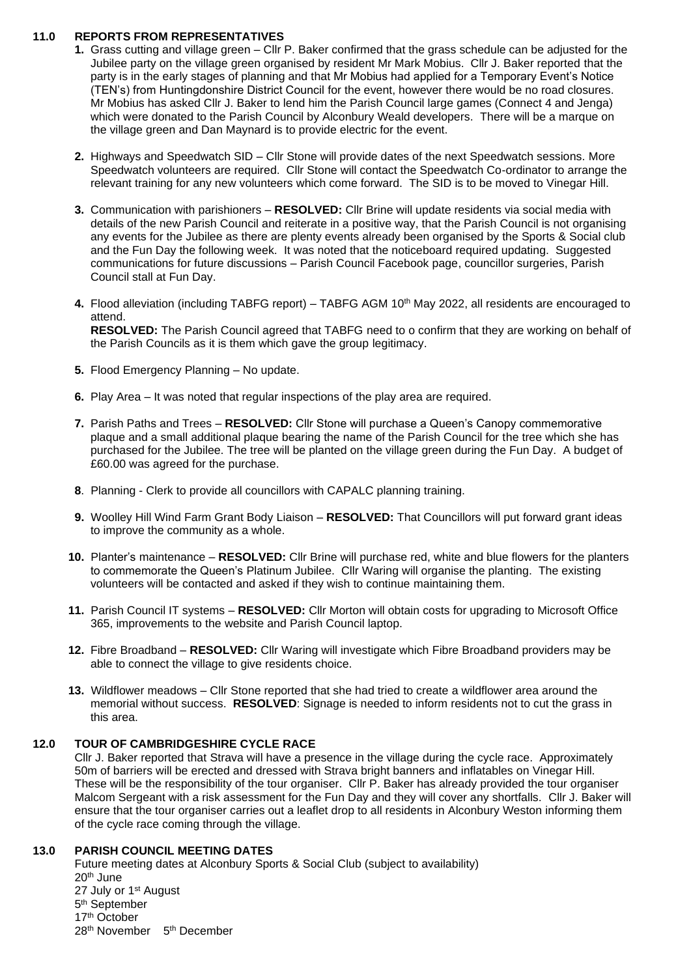# **11.0 REPORTS FROM REPRESENTATIVES**

- **1.** Grass cutting and village green Cllr P. Baker confirmed that the grass schedule can be adjusted for the Jubilee party on the village green organised by resident Mr Mark Mobius. Cllr J. Baker reported that the party is in the early stages of planning and that Mr Mobius had applied for a Temporary Event's Notice (TEN's) from Huntingdonshire District Council for the event, however there would be no road closures. Mr Mobius has asked Cllr J. Baker to lend him the Parish Council large games (Connect 4 and Jenga) which were donated to the Parish Council by Alconbury Weald developers. There will be a marque on the village green and Dan Maynard is to provide electric for the event.
- **2.** Highways and Speedwatch SID Cllr Stone will provide dates of the next Speedwatch sessions. More Speedwatch volunteers are required. Cllr Stone will contact the Speedwatch Co-ordinator to arrange the relevant training for any new volunteers which come forward. The SID is to be moved to Vinegar Hill.
- **3.** Communication with parishioners **RESOLVED:** Cllr Brine will update residents via social media with details of the new Parish Council and reiterate in a positive way, that the Parish Council is not organising any events for the Jubilee as there are plenty events already been organised by the Sports & Social club and the Fun Day the following week. It was noted that the noticeboard required updating. Suggested communications for future discussions – Parish Council Facebook page, councillor surgeries, Parish Council stall at Fun Day.
- **4.** Flood alleviation (including TABFG report) TABFG AGM 10th May 2022, all residents are encouraged to attend. **RESOLVED:** The Parish Council agreed that TABFG need to o confirm that they are working on behalf of

the Parish Councils as it is them which gave the group legitimacy.

- **5.** Flood Emergency Planning No update.
- **6.** Play Area It was noted that regular inspections of the play area are required.
- **7.** Parish Paths and Trees **RESOLVED:** Cllr Stone will purchase a Queen's Canopy commemorative plaque and a small additional plaque bearing the name of the Parish Council for the tree which she has purchased for the Jubilee. The tree will be planted on the village green during the Fun Day. A budget of £60.00 was agreed for the purchase.
- **8**. Planning Clerk to provide all councillors with CAPALC planning training.
- **9.** Woolley Hill Wind Farm Grant Body Liaison **RESOLVED:** That Councillors will put forward grant ideas to improve the community as a whole.
- **10.** Planter's maintenance **RESOLVED:** Cllr Brine will purchase red, white and blue flowers for the planters to commemorate the Queen's Platinum Jubilee. Cllr Waring will organise the planting. The existing volunteers will be contacted and asked if they wish to continue maintaining them.
- **11.** Parish Council IT systems **RESOLVED:** Cllr Morton will obtain costs for upgrading to Microsoft Office 365, improvements to the website and Parish Council laptop.
- **12.** Fibre Broadband **RESOLVED:** Cllr Waring will investigate which Fibre Broadband providers may be able to connect the village to give residents choice.
- **13.** Wildflower meadows Cllr Stone reported that she had tried to create a wildflower area around the memorial without success. **RESOLVED**: Signage is needed to inform residents not to cut the grass in this area.

# **12.0 TOUR OF CAMBRIDGESHIRE CYCLE RACE**

Cllr J. Baker reported that Strava will have a presence in the village during the cycle race. Approximately 50m of barriers will be erected and dressed with Strava bright banners and inflatables on Vinegar Hill. These will be the responsibility of the tour organiser. Cllr P. Baker has already provided the tour organiser Malcom Sergeant with a risk assessment for the Fun Day and they will cover any shortfalls. Cllr J. Baker will ensure that the tour organiser carries out a leaflet drop to all residents in Alconbury Weston informing them of the cycle race coming through the village.

## **13.0 PARISH COUNCIL MEETING DATES**

Future meeting dates at Alconbury Sports & Social Club (subject to availability) 20th June 27 July or 1st August 5<sup>th</sup> September 17th October 28<sup>th</sup> November 5<sup>th</sup> December